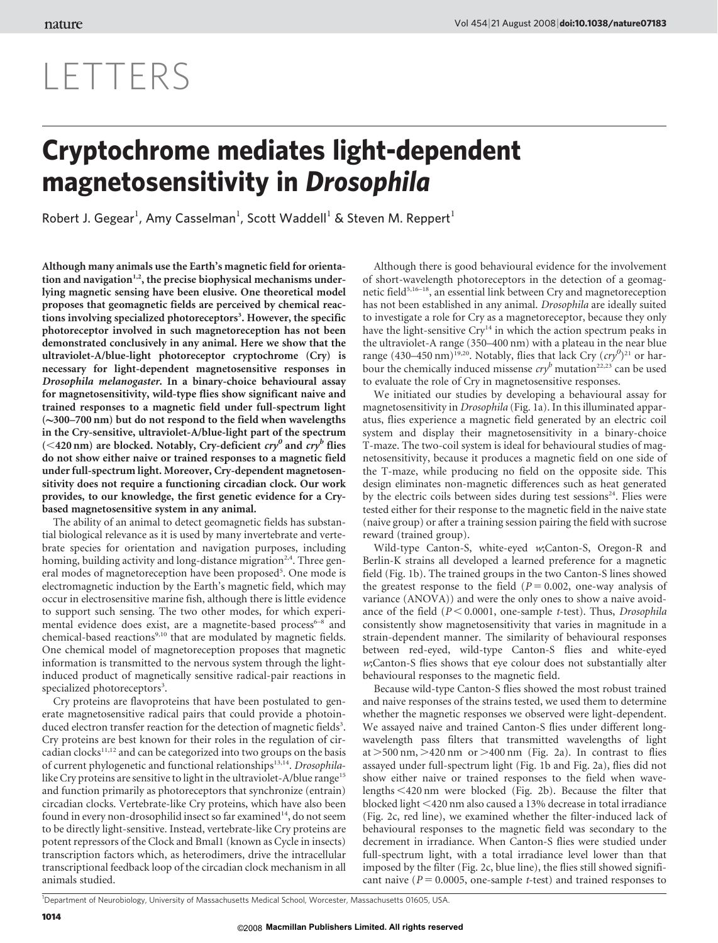# LETTERS

## Cryptochrome mediates light-dependent magnetosensitivity in Drosophila

Robert J. Gegear<sup>1</sup>, Amy Casselman<sup>1</sup>, Scott Waddell<sup>1</sup> & Steven M. Reppert<sup>1</sup>

Although many animals use the Earth's magnetic field for orientation and navigation<sup> $1,2$ </sup>, the precise biophysical mechanisms underlying magnetic sensing have been elusive. One theoretical model proposes that geomagnetic fields are perceived by chemical reactions involving specialized photoreceptors<sup>3</sup>. However, the specific photoreceptor involved in such magnetoreception has not been demonstrated conclusively in any animal. Here we show that the ultraviolet-A/blue-light photoreceptor cryptochrome (Cry) is necessary for light-dependent magnetosensitive responses in Drosophila melanogaster. In a binary-choice behavioural assay for magnetosensitivity, wild-type flies show significant naive and trained responses to a magnetic field under full-spectrum light  $(\sim]300-700 \text{ nm}$  but do not respond to the field when wavelengths in the Cry-sensitive, ultraviolet-A/blue-light part of the spectrum ( $\leq$ 420 nm) are blocked. Notably, Cry-deficient cry<sup>0</sup> and cry<sup>b</sup> flies do not show either naive or trained responses to a magnetic field under full-spectrum light. Moreover, Cry-dependent magnetosensitivity does not require a functioning circadian clock. Our work provides, to our knowledge, the first genetic evidence for a Crybased magnetosensitive system in any animal.

The ability of an animal to detect geomagnetic fields has substantial biological relevance as it is used by many invertebrate and vertebrate species for orientation and navigation purposes, including homing, building activity and long-distance migration<sup>2,4</sup>. Three general modes of magnetoreception have been proposed<sup>5</sup>. One mode is electromagnetic induction by the Earth's magnetic field, which may occur in electrosensitive marine fish, although there is little evidence to support such sensing. The two other modes, for which experimental evidence does exist, are a magnetite-based process<sup>6-8</sup> and chemical-based reactions<sup>9,10</sup> that are modulated by magnetic fields. One chemical model of magnetoreception proposes that magnetic information is transmitted to the nervous system through the lightinduced product of magnetically sensitive radical-pair reactions in specialized photoreceptors<sup>3</sup>.

Cry proteins are flavoproteins that have been postulated to generate magnetosensitive radical pairs that could provide a photoinduced electron transfer reaction for the detection of magnetic fields<sup>3</sup>. Cry proteins are best known for their roles in the regulation of circadian clocks $11,12$  and can be categorized into two groups on the basis of current phylogenetic and functional relationships<sup>13,14</sup>. Drosophilalike Cry proteins are sensitive to light in the ultraviolet-A/blue range<sup>15</sup> and function primarily as photoreceptors that synchronize (entrain) circadian clocks. Vertebrate-like Cry proteins, which have also been found in every non-drosophilid insect so far examined<sup>14</sup>, do not seem to be directly light-sensitive. Instead, vertebrate-like Cry proteins are potent repressors of the Clock and Bmal1 (known as Cycle in insects) transcription factors which, as heterodimers, drive the intracellular transcriptional feedback loop of the circadian clock mechanism in all animals studied.

Although there is good behavioural evidence for the involvement of short-wavelength photoreceptors in the detection of a geomagnetic field<sup>5,16–18</sup>, an essential link between Cry and magnetoreception has not been established in any animal. Drosophila are ideally suited to investigate a role for Cry as a magnetoreceptor, because they only have the light-sensitive Cry<sup>14</sup> in which the action spectrum peaks in the ultraviolet-A range (350–400 nm) with a plateau in the near blue range (430–450 nm)<sup>19,20</sup>. Notably, flies that lack Cry  $(cry^0)^{21}$  or harbour the chemically induced missense  $\frac{cry^b}{2}$  mutation<sup>22,23</sup> can be used to evaluate the role of Cry in magnetosensitive responses.

We initiated our studies by developing a behavioural assay for magnetosensitivity in Drosophila (Fig. 1a). In this illuminated apparatus, flies experience a magnetic field generated by an electric coil system and display their magnetosensitivity in a binary-choice T-maze. The two-coil system is ideal for behavioural studies of magnetosensitivity, because it produces a magnetic field on one side of the T-maze, while producing no field on the opposite side. This design eliminates non-magnetic differences such as heat generated by the electric coils between sides during test sessions<sup>24</sup>. Flies were tested either for their response to the magnetic field in the naive state (naive group) or after a training session pairing the field with sucrose reward (trained group).

Wild-type Canton-S, white-eyed w;Canton-S, Oregon-R and Berlin-K strains all developed a learned preference for a magnetic field (Fig. 1b). The trained groups in the two Canton-S lines showed the greatest response to the field  $(P = 0.002, \text{ one-way analysis of})$ variance (ANOVA)) and were the only ones to show a naive avoidance of the field  $(P < 0.0001$ , one-sample t-test). Thus, Drosophila consistently show magnetosensitivity that varies in magnitude in a strain-dependent manner. The similarity of behavioural responses between red-eyed, wild-type Canton-S flies and white-eyed w;Canton-S flies shows that eye colour does not substantially alter behavioural responses to the magnetic field.

Because wild-type Canton-S flies showed the most robust trained and naive responses of the strains tested, we used them to determine whether the magnetic responses we observed were light-dependent. We assayed naive and trained Canton-S flies under different longwavelength pass filters that transmitted wavelengths of light at  $>500$  nm,  $>420$  nm or  $>400$  nm (Fig. 2a). In contrast to flies assayed under full-spectrum light (Fig. 1b and Fig. 2a), flies did not show either naive or trained responses to the field when wavelengths <420 nm were blocked (Fig. 2b). Because the filter that blocked light <420 nm also caused a 13% decrease in total irradiance (Fig. 2c, red line), we examined whether the filter-induced lack of behavioural responses to the magnetic field was secondary to the decrement in irradiance. When Canton-S flies were studied under full-spectrum light, with a total irradiance level lower than that imposed by the filter (Fig. 2c, blue line), the flies still showed significant naive ( $P = 0.0005$ , one-sample t-test) and trained responses to

1 Department of Neurobiology, University of Massachusetts Medical School, Worcester, Massachusetts 01605, USA.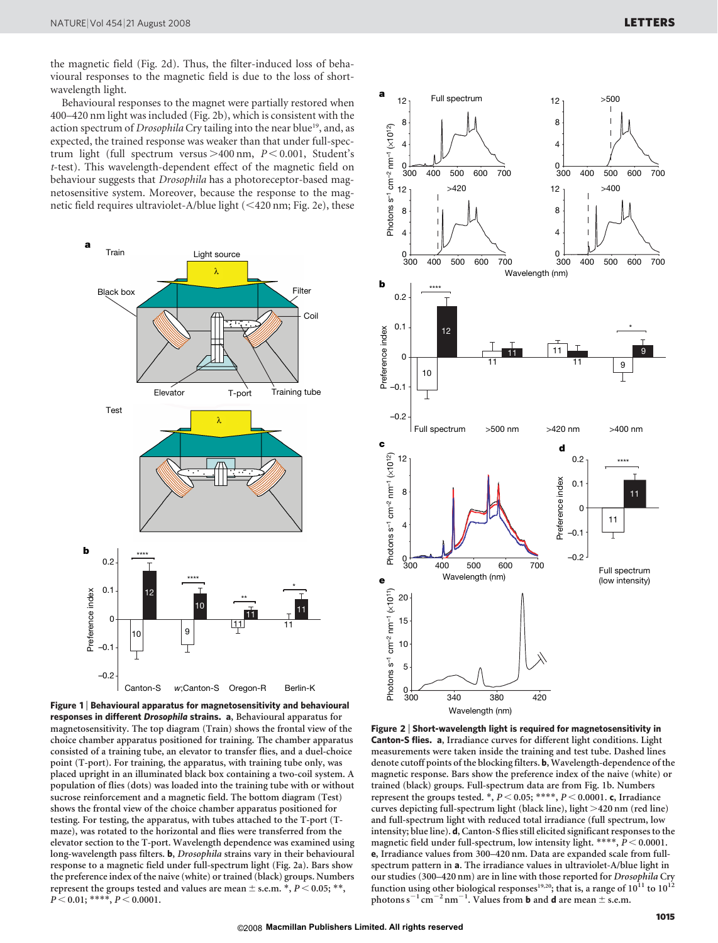the magnetic field (Fig. 2d). Thus, the filter-induced loss of behavioural responses to the magnetic field is due to the loss of shortwavelength light.

Behavioural responses to the magnet were partially restored when 400–420 nm light was included (Fig. 2b), which is consistent with the action spectrum of *Drosophila* Cry tailing into the near blue<sup>19</sup>, and, as expected, the trained response was weaker than that under full-spectrum light (full spectrum versus  $>400$  nm,  $P < 0.001$ , Student's t-test). This wavelength-dependent effect of the magnetic field on behaviour suggests that Drosophila has a photoreceptor-based magnetosensitive system. Moreover, because the response to the magnetic field requires ultraviolet-A/blue light  $(<$  420 nm; Fig. 2e), these







Figure 2 <sup>|</sup> Short-wavelength light is required for magnetosensitivity in Canton-S flies. a, Irradiance curves for different light conditions. Light measurements were taken inside the training and test tube. Dashed lines denote cutoff points of the blocking filters. b, Wavelength-dependence of the magnetic response. Bars show the preference index of the naive (white) or trained (black) groups. Full-spectrum data are from Fig. 1b. Numbers represent the groups tested.  $\ast$ ,  $P < 0.05$ ;  $\ast\ast\ast\ast$ ,  $P < 0.0001$ . c, Irradiance curves depicting full-spectrum light (black line), light >420 nm (red line) and full-spectrum light with reduced total irradiance (full spectrum, low intensity; blue line). d, Canton-S flies still elicited significant responses to the magnetic field under full-spectrum, low intensity light. \*\*\*\*,  $P < 0.0001$ . e, Irradiance values from 300–420 nm. Data are expanded scale from fullspectrum pattern in a. The irradiance values in ultraviolet-A/blue light in our studies (300–420 nm) are in line with those reported for Drosophila Cry function using other biological responses<sup>19,20</sup>; that is, a range of  $10^{11}$  to  $10^{12}$ photons  $s^{-1}$  cm<sup>-2</sup> nm<sup>-1</sup>. Values from **b** and **d** are mean  $\pm$  s.e.m.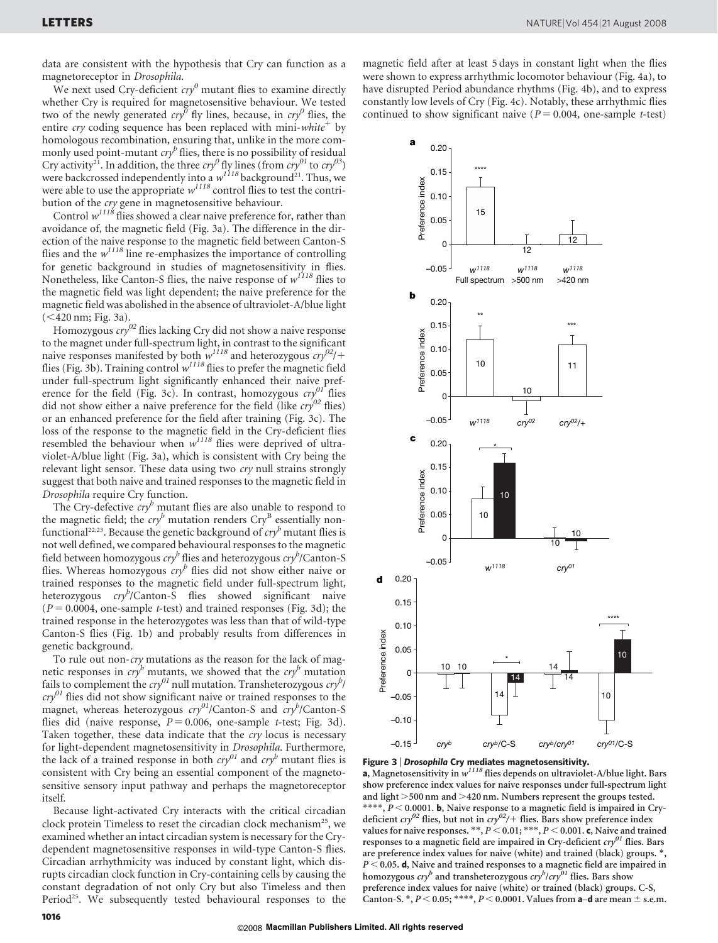data are consistent with the hypothesis that Cry can function as a magnetoreceptor in Drosophila.

We next used Cry-deficient  $\frac{c}{y}$  mutant flies to examine directly whether Cry is required for magnetosensitive behaviour. We tested two of the newly generated  $\langle cxy^{\delta} \rangle$  fly lines, because, in  $\langle cxy^{\delta} \rangle$  flies, the entire *cry* coding sequence has been replaced with mini-*white*<sup>+</sup> by homologous recombination, ensuring that, unlike in the more commonly used point-mutant  $\frac{c}{y}$  flies, there is no possibility of residual Cry activity<sup>21</sup>. In addition, the three cry<sup>0</sup> fly lines (from cry<sup>01</sup> to cry<sup>03</sup>) were backcrossed independently into a  $w^{1118}$  background<sup>21</sup>. Thus, we were able to use the appropriate  $w^{1118}$  control flies to test the contribution of the cry gene in magnetosensitive behaviour.

Control  $w^{1118}$  flies showed a clear naive preference for, rather than avoidance of, the magnetic field (Fig. 3a). The difference in the direction of the naive response to the magnetic field between Canton-S flies and the  $w^{1118}$  line re-emphasizes the importance of controlling for genetic background in studies of magnetosensitivity in flies. Nonetheless, like Canton-S flies, the naive response of  $w^{1118}$  flies to the magnetic field was light dependent; the naive preference for the magnetic field was abolished in the absence of ultraviolet-A/blue light  $(<$ 420 nm; Fig. 3a).

Homozygous  $\frac{c}{y}$ <sup>02</sup> flies lacking Cry did not show a naive response to the magnet under full-spectrum light, in contrast to the significant naive responses manifested by both  $w^{1118}$  and heterozygous  $cry^{02}/+$ flies (Fig. 3b). Training control  $w^{1118}$  flies to prefer the magnetic field under full-spectrum light significantly enhanced their naive preference for the field (Fig. 3c). In contrast, homozygous  $crv^{01}$  flies did not show either a naive preference for the field (like  $cry^{02}$  flies) or an enhanced preference for the field after training (Fig. 3c). The loss of the response to the magnetic field in the Cry-deficient flies resembled the behaviour when  $w^{1118}$  flies were deprived of ultraviolet-A/blue light (Fig. 3a), which is consistent with Cry being the relevant light sensor. These data using two cry null strains strongly suggest that both naive and trained responses to the magnetic field in Drosophila require Cry function.

The Cry-defective  $\frac{cry^b}{r}$  mutant flies are also unable to respond to the magnetic field; the  $cry^b$  mutation renders  $Cry^B$  essentially nonfunctional<sup>22,23</sup>. Because the genetic background of  $cry^b$  mutant flies is not well defined, we compared behavioural responses to the magnetic field between homozygous  $\exp^b$  flies and heterozygous  $\exp^b$ /Canton-S flies. Whereas homozygous  $cry^b$  flies did not show either naive or trained responses to the magnetic field under full-spectrum light, heterozygous cry<sup>b</sup>/Canton-S flies showed significant naive  $(P = 0.0004$ , one-sample t-test) and trained responses (Fig. 3d); the trained response in the heterozygotes was less than that of wild-type Canton-S flies (Fig. 1b) and probably results from differences in genetic background.

To rule out non-cry mutations as the reason for the lack of magnetic responses in  $cry^b$  mutants, we showed that the  $cry^b$  mutation fails to complement the  $\frac{cry^{01}}{m}$  null mutation. Transheterozygous  $\frac{cry^{b}}{m}$  $cry^{01}$  flies did not show significant naive or trained responses to the magnet, whereas heterozygous  $\frac{cry^{01}}{Carnton-S}$  and  $\frac{cry^{b}}{Carnton-S}$ flies did (naive response,  $P = 0.006$ , one-sample t-test; Fig. 3d). Taken together, these data indicate that the cry locus is necessary for light-dependent magnetosensitivity in Drosophila. Furthermore, the lack of a trained response in both  $\frac{c}{y}$  and  $\frac{c}{y}$  mutant flies is consistent with Cry being an essential component of the magnetosensitive sensory input pathway and perhaps the magnetoreceptor itself.

Because light-activated Cry interacts with the critical circadian clock protein Timeless to reset the circadian clock mechanism<sup>25</sup>, we examined whether an intact circadian system is necessary for the Crydependent magnetosensitive responses in wild-type Canton-S flies. Circadian arrhythmicity was induced by constant light, which disrupts circadian clock function in Cry-containing cells by causing the constant degradation of not only Cry but also Timeless and then Period<sup>25</sup>. We subsequently tested behavioural responses to the

magnetic field after at least 5 days in constant light when the flies were shown to express arrhythmic locomotor behaviour (Fig. 4a), to have disrupted Period abundance rhythms (Fig. 4b), and to express constantly low levels of Cry (Fig. 4c). Notably, these arrhythmic flies continued to show significant naive ( $P = 0.004$ , one-sample t-test)





**Figure 3 | Drosophila Cry mediates magnetosensitivity.**<br>**a**, Magnetosensitivity in w<sup>1118</sup> flies depends on ultraviolet-A/blue light. Bars show preference index values for naive responses under full-spectrum light and light  $>500$  nm and  $>420$  nm. Numbers represent the groups tested. \*\*\*\*,  $P < 0.0001$ . b, Naive response to a magnetic field is impaired in Crydeficient  $\frac{cry^{02}}{1}$  flies, but not in  $\frac{cry^{02}}{1}$  flies. Bars show preference index values for naive responses. \*\*,  $P < 0.01$ ; \*\*\*,  $P < 0.001$ . c, Naive and trained responses to a magnetic field are impaired in Cry-deficient  $cry^{01}$  flies. Bars are preference index values for naive (white) and trained (black) groups. \*,  $P < 0.05$ . d, Naive and trained responses to a magnetic field are impaired in homozygous  $\frac{c}{y}$  and transheterozygous  $\frac{c}{y}$   $\frac{c}{y}$  flies. Bars show preference index values for naive (white) or trained (black) groups. C-S, Canton-S. \*,  $P < 0.05$ ; \*\*\*\*,  $P < 0.0001$ . Values from a–d are mean  $\pm$  s.e.m.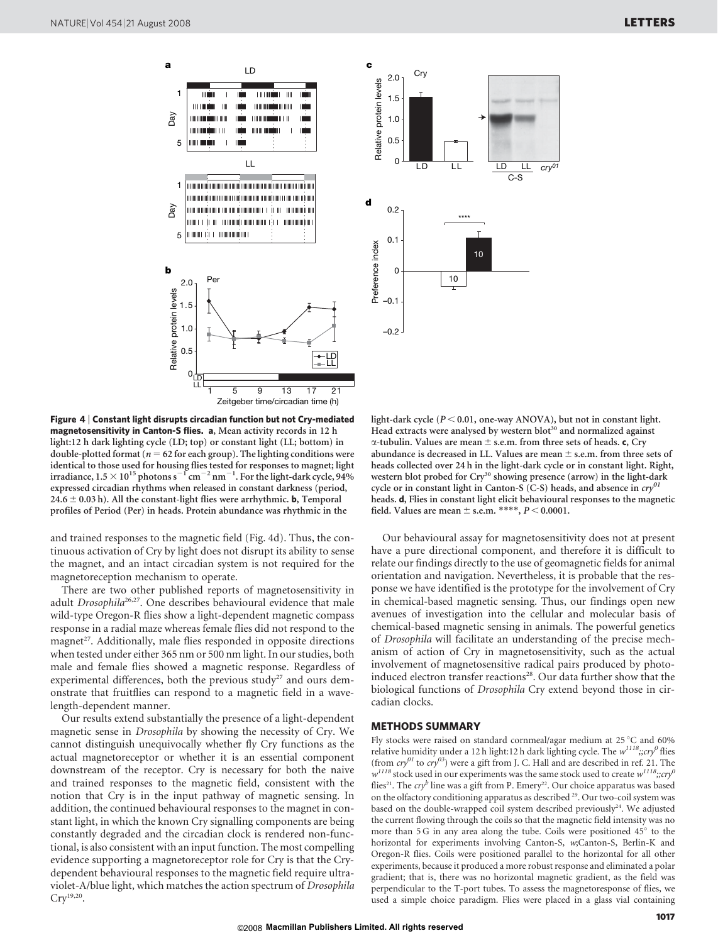

Figure 4 <sup>|</sup> Constant light disrupts circadian function but not Cry-mediated magnetosensitivity in Canton-S flies. a, Mean activity records in 12 h light:12 h dark lighting cycle (LD; top) or constant light (LL; bottom) in double-plotted format ( $n = 62$  for each group). The lighting conditions were identical to those used for housing flies tested for responses to magnet; light<br>irradiance, 1.5 × 10<sup>15</sup> photons s $^{-1}$  cm $^{-2}$  nm $^{-1}$ . For the light-dark cycle, 94% expressed circadian rhythms when released in constant darkness (period,  $24.6 \pm 0.03$  h). All the constant-light flies were arrhythmic. **b**, Temporal profiles of Period (Per) in heads. Protein abundance was rhythmic in the

and trained responses to the magnetic field (Fig. 4d). Thus, the continuous activation of Cry by light does not disrupt its ability to sense the magnet, and an intact circadian system is not required for the magnetoreception mechanism to operate.

There are two other published reports of magnetosensitivity in adult Drosophila<sup>26,27</sup>. One describes behavioural evidence that male wild-type Oregon-R flies show a light-dependent magnetic compass response in a radial maze whereas female flies did not respond to the magnet<sup>27</sup>. Additionally, male flies responded in opposite directions when tested under either 365 nm or 500 nm light. In our studies, both male and female flies showed a magnetic response. Regardless of experimental differences, both the previous study<sup>27</sup> and ours demonstrate that fruitflies can respond to a magnetic field in a wavelength-dependent manner.

Our results extend substantially the presence of a light-dependent magnetic sense in Drosophila by showing the necessity of Cry. We cannot distinguish unequivocally whether fly Cry functions as the actual magnetoreceptor or whether it is an essential component downstream of the receptor. Cry is necessary for both the naive and trained responses to the magnetic field, consistent with the notion that Cry is in the input pathway of magnetic sensing. In addition, the continued behavioural responses to the magnet in constant light, in which the known Cry signalling components are being constantly degraded and the circadian clock is rendered non-functional, is also consistent with an input function. The most compelling evidence supporting a magnetoreceptor role for Cry is that the Crydependent behavioural responses to the magnetic field require ultraviolet-A/blue light, which matches the action spectrum of Drosophila  $Cry^{19,20}$ .



light-dark cycle ( $P < 0.01$ , one-way ANOVA), but not in constant light. Head extracts were analysed by western blot<sup>30</sup> and normalized against  $\alpha$ -tubulin. Values are mean  $\pm$  s.e.m. from three sets of heads. c, Cry abundance is decreased in LL. Values are mean  $\pm$  s.e.m. from three sets of heads collected over 24 h in the light-dark cycle or in constant light. Right, western blot probed for Cry<sup>30</sup> showing presence (arrow) in the light-dark cycle or in constant light in Canton-S (C-S) heads, and absence in  $\text{cry}^{01}$ heads. d, Flies in constant light elicit behavioural responses to the magnetic field. Values are mean  $\pm$  s.e.m. \*\*\*\*,  $P$   $\!<$  0.0001.

Our behavioural assay for magnetosensitivity does not at present have a pure directional component, and therefore it is difficult to relate our findings directly to the use of geomagnetic fields for animal orientation and navigation. Nevertheless, it is probable that the response we have identified is the prototype for the involvement of Cry in chemical-based magnetic sensing. Thus, our findings open new avenues of investigation into the cellular and molecular basis of chemical-based magnetic sensing in animals. The powerful genetics of Drosophila will facilitate an understanding of the precise mechanism of action of Cry in magnetosensitivity, such as the actual involvement of magnetosensitive radical pairs produced by photoinduced electron transfer reactions<sup>28</sup>. Our data further show that the biological functions of Drosophila Cry extend beyond those in circadian clocks.

### METHODS SUMMARY

Fly stocks were raised on standard cornmeal/agar medium at  $25^{\circ}$ C and 60% relative humidity under a 12 h light:12 h dark lighting cycle. The  $w^{I118};\!;cry^0$  flies (from  $\frac{c}{y}$  to  $\frac{c}{y}$ ) were a gift from J. C. Hall and are described in ref. 21. The  $w^{1118}$  stock used in our experiments was the same stock used to create  $w^{1118}$ ;;cry<sup>0</sup> flies<sup>21</sup>. The cry<sup>b</sup> line was a gift from P. Emery<sup>22</sup>. Our choice apparatus was based on the olfactory conditioning apparatus as described <sup>29</sup>. Our two-coil system was based on the double-wrapped coil system described previously<sup>24</sup>. We adjusted the current flowing through the coils so that the magnetic field intensity was no more than  $5 G$  in any area along the tube. Coils were positioned  $45^\circ$  to the horizontal for experiments involving Canton-S, w;Canton-S, Berlin-K and Oregon-R flies. Coils were positioned parallel to the horizontal for all other experiments, because it produced a more robust response and eliminated a polar gradient; that is, there was no horizontal magnetic gradient, as the field was perpendicular to the T-port tubes. To assess the magnetoresponse of flies, we used a simple choice paradigm. Flies were placed in a glass vial containing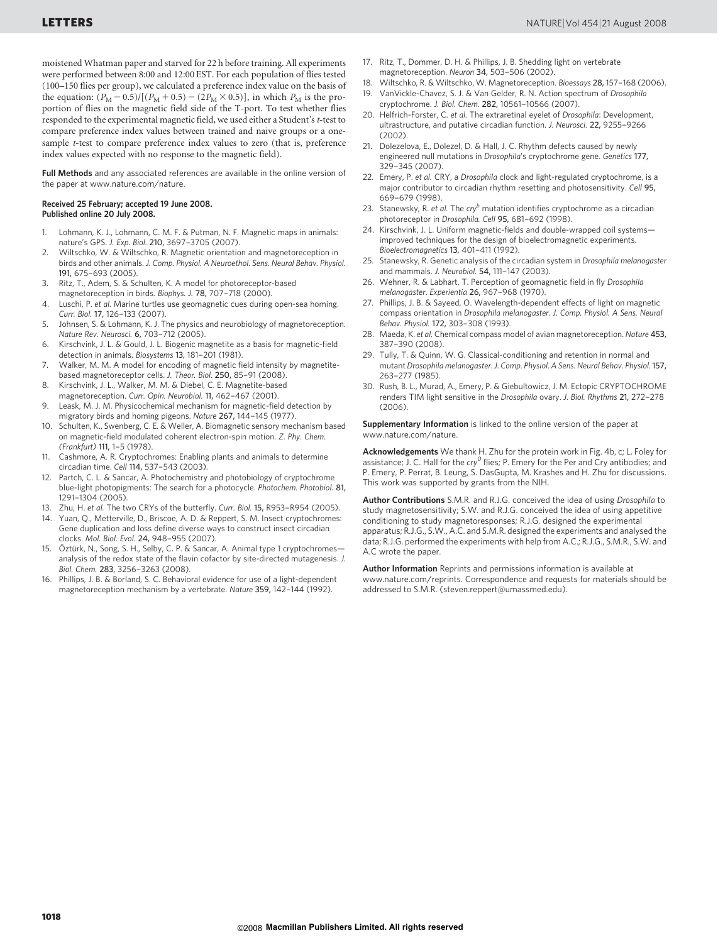moistened Whatman paper and starved for 22 h before training. All experiments were performed between 8:00 and 12:00 EST. For each population of flies tested (100–150 flies per group), we calculated a preference index value on the basis of the equation:  $(P_M - 0.5)/[(P_M + 0.5) - (2P_M \times 0.5)]$ , in which  $P_M$  is the proportion of flies on the magnetic field side of the T-port. To test whether flies responded to the experimental magnetic field, we used either a Student's t-test to compare preference index values between trained and naive groups or a onesample t-test to compare preference index values to zero (that is, preference index values expected with no response to the magnetic field).

Full Methods and any associated references are available in the online version of the paper at<www.nature.com/nature>.

#### Received 25 February; accepted 19 June 2008. Published online 20 July 2008.

- 1. Lohmann, K. J., Lohmann, C. M. F. & Putman, N. F. Magnetic maps in animals: nature's GPS. J. Exp. Biol. 210, 3697–3705 (2007).
- 2. Wiltschko, W. & Wiltschko, R. Magnetic orientation and magnetoreception in birds and other animals. J. Comp. Physiol. A Neuroethol. Sens. Neural Behav. Physiol. 191, 675–693 (2005).
- 3. Ritz, T., Adem, S. & Schulten, K. A model for photoreceptor-based
- magnetoreception in birds. Biophys. J. 78, 707–718 (2000).
- 4. Luschi, P. et al. Marine turtles use geomagnetic cues during open-sea homing. Curr. Biol. 17, 126–133 (2007).
- 5. Johnsen, S. & Lohmann, K. J. The physics and neurobiology of magnetoreception. Nature Rev. Neurosci. 6, 703–712 (2005).
- Kirschvink, J. L. & Gould, J. L. Biogenic magnetite as a basis for magnetic-field detection in animals. Biosystems 13, 181-201 (1981).
- 7. Walker, M. M. A model for encoding of magnetic field intensity by magnetitebased magnetoreceptor cells. J. Theor. Biol. 250, 85–91 (2008).
- 8. Kirschvink, J. L., Walker, M. M. & Diebel, C. E. Magnetite-based magnetoreception. Curr. Opin. Neurobiol. 11, 462–467 (2001).
- 9. Leask, M. J. M. Physicochemical mechanism for magnetic-field detection by migratory birds and homing pigeons. Nature 267, 144–145 (1977).
- 10. Schulten, K., Swenberg, C. E. & Weller, A. Biomagnetic sensory mechanism based on magnetic-field modulated coherent electron-spin motion. Z. Phy. Chem. (Frankfurt) 111, 1–5 (1978).
- 11. Cashmore, A. R. Cryptochromes: Enabling plants and animals to determine circadian time. Cell 114, 537–543 (2003).
- Partch, C. L. & Sancar, A. Photochemistry and photobiology of cryptochrome blue-light photopigments: The search for a photocycle. Photochem. Photobiol. 81, 1291–1304 (2005).
- 13. Zhu, H. et al. The two CRYs of the butterfly. Curr. Biol. 15, R953–R954 (2005).
- 14. Yuan, Q., Metterville, D., Briscoe, A. D. & Reppert, S. M. Insect cryptochromes: Gene duplication and loss define diverse ways to construct insect circadian clocks. Mol. Biol. Evol. 24, 948–955 (2007).
- 15. Öztürk, N., Song, S. H., Selby, C. P. & Sancar, A. Animal type 1 cryptochromesanalysis of the redox state of the flavin cofactor by site-directed mutagenesis. J. Biol. Chem. 283, 3256–3263 (2008).
- 16. Phillips, J. B. & Borland, S. C. Behavioral evidence for use of a light-dependent magnetoreception mechanism by a vertebrate. Nature 359, 142–144 (1992).
- 17. Ritz, T., Dommer, D. H. & Phillips, J. B. Shedding light on vertebrate magnetoreception. Neuron 34, 503–506 (2002).
- 18. Wiltschko, R. & Wiltschko, W. Magnetoreception. Bioessays 28, 157–168 (2006).
- VanVickle-Chavez, S. J. & Van Gelder, R. N. Action spectrum of Drosophila cryptochrome. J. Biol. Chem. 282, 10561–10566 (2007).
- 20. Helfrich-Forster, C. et al. The extraretinal eyelet of Drosophila: Development, ultrastructure, and putative circadian function. J. Neurosci. 22, 9255–9266 (2002).
- 21. Dolezelova, E., Dolezel, D. & Hall, J. C. Rhythm defects caused by newly engineered null mutations in Drosophila's cryptochrome gene. Genetics 177, 329–345 (2007).
- 22. Emery, P. et al. CRY, a Drosophila clock and light-regulated cryptochrome, is a major contributor to circadian rhythm resetting and photosensitivity. Cell 95, 669–679 (1998).
- 23. Stanewsky, R. et al. The  $\text{cry}^b$  mutation identifies cryptochrome as a circadian photoreceptor in Drosophila. Cell 95, 681–692 (1998).
- 24. Kirschvink, J. L. Uniform magnetic-fields and double-wrapped coil systems improved techniques for the design of bioelectromagnetic experiments. Bioelectromagnetics 13, 401–411 (1992).
- 25. Stanewsky, R. Genetic analysis of the circadian system in Drosophila melanogaster and mammals. J. Neurobiol. 54, 111–147 (2003).
- 26. Wehner, R. & Labhart, T. Perception of geomagnetic field in fly Drosophila melanogaster. Experientia 26, 967–968 (1970).
- 27. Phillips, J. B. & Sayeed, O. Wavelength-dependent effects of light on magnetic compass orientation in Drosophila melanogaster. J. Comp. Physiol. A Sens. Neural Behav. Physiol. 172, 303–308 (1993).
- 28. Maeda, K. et al. Chemical compass model of avian magnetoreception. Nature 453, 387–390 (2008).
- 29. Tully, T. & Quinn, W. G. Classical-conditioning and retention in normal and mutant Drosophila melanogaster.J. Comp. Physiol. A Sens. Neural Behav. Physiol.157, 263–277 (1985).
- 30. Rush, B. L., Murad, A., Emery, P. & Giebultowicz, J. M. Ectopic CRYPTOCHROME renders TIM light sensitive in the Drosophila ovary. J. Biol. Rhythms 21, 272–278 (2006).

Supplementary Information is linked to the online version of the paper at <www.nature.com/nature>.

Acknowledgements We thank H. Zhu for the protein work in Fig. 4b, c; L. Foley for assistance; J. C. Hall for the  $\text{cry}^{\text{o}}$  flies; P. Emery for the Per and Cry antibodies; and P. Emery, P. Perrat, B. Leung, S. DasGupta, M. Krashes and H. Zhu for discussions. This work was supported by grants from the NIH.

Author Contributions S.M.R. and R.J.G. conceived the idea of using Drosophila to study magnetosensitivity; S.W. and R.J.G. conceived the idea of using appetitive conditioning to study magnetoresponses; R.J.G. designed the experimental apparatus; R.J.G., S.W., A.C. and S.M.R. designed the experiments and analysed the data; R.J.G. performed the experiments with help from A.C.; R.J.G., S.M.R., S.W. and A.C wrote the paper.

Author Information Reprints and permissions information is available at <www.nature.com/reprints>. Correspondence and requests for materials should be addressed to S.M.R. [\(steven.reppert@umassmed.edu\)](mailto:steven.reppert@umassmed.edu).